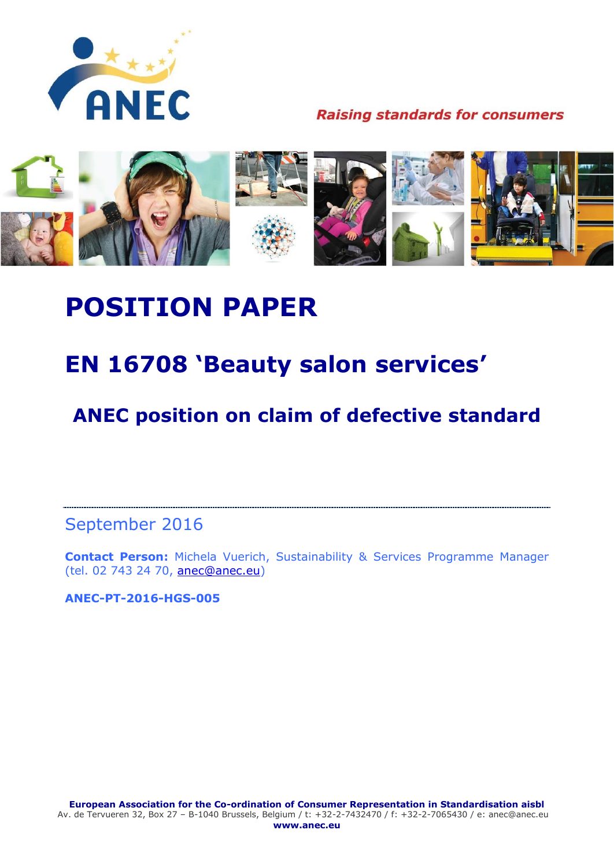

**Raising standards for consumers** 



# **POSITION PAPER**

## **EN 16708 'Beauty salon services'**

**ANEC position on claim of defective standard**

September 2016

**Contact Person:** Michela Vuerich, Sustainability & Services Programme Manager (tel. 02 743 24 70, [anec@anec.eu\)](mailto:anec@anec.eu)

**ANEC-PT-2016-HGS-005**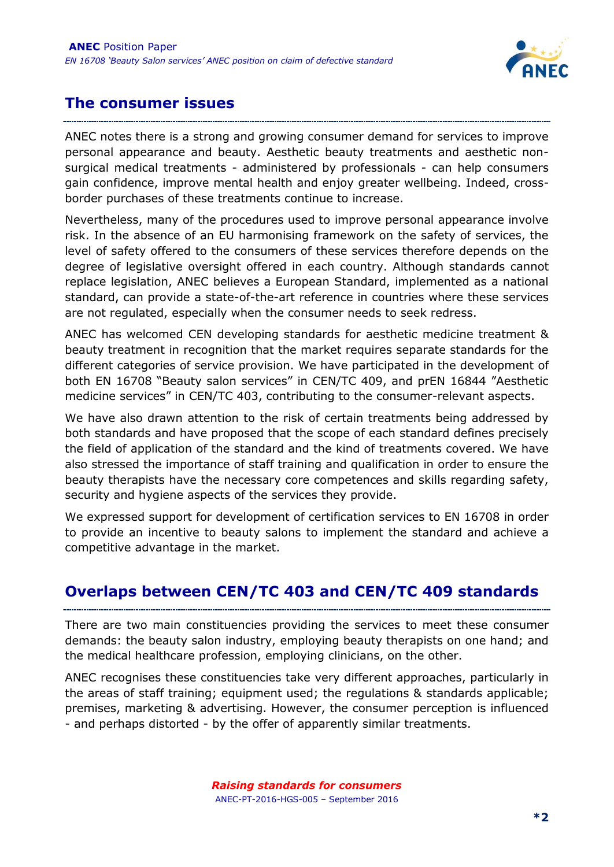

#### **The consumer issues**

ANEC notes there is a strong and growing consumer demand for services to improve personal appearance and beauty. Aesthetic beauty treatments and aesthetic nonsurgical medical treatments - administered by professionals - can help consumers gain confidence, improve mental health and enjoy greater wellbeing. Indeed, crossborder purchases of these treatments continue to increase.

Nevertheless, many of the procedures used to improve personal appearance involve risk. In the absence of an EU harmonising framework on the safety of services, the level of safety offered to the consumers of these services therefore depends on the degree of legislative oversight offered in each country. Although standards cannot replace legislation, ANEC believes a European Standard, implemented as a national standard, can provide a state-of-the-art reference in countries where these services are not regulated, especially when the consumer needs to seek redress.

ANEC has welcomed CEN developing standards for aesthetic medicine treatment & beauty treatment in recognition that the market requires separate standards for the different categories of service provision. We have participated in the development of both EN 16708 "Beauty salon services" in CEN/TC 409, and prEN 16844 "Aesthetic medicine services" in CEN/TC 403, contributing to the consumer-relevant aspects.

We have also drawn attention to the risk of certain treatments being addressed by both standards and have proposed that the scope of each standard defines precisely the field of application of the standard and the kind of treatments covered. We have also stressed the importance of staff training and qualification in order to ensure the beauty therapists have the necessary core competences and skills regarding safety, security and hygiene aspects of the services they provide.

We expressed support for development of certification services to EN 16708 in order to provide an incentive to beauty salons to implement the standard and achieve a competitive advantage in the market.

#### **Overlaps between CEN/TC 403 and CEN/TC 409 standards**

There are two main constituencies providing the services to meet these consumer demands: the beauty salon industry, employing beauty therapists on one hand; and the medical healthcare profession, employing clinicians, on the other.

ANEC recognises these constituencies take very different approaches, particularly in the areas of staff training; equipment used; the regulations & standards applicable; premises, marketing & advertising. However, the consumer perception is influenced - and perhaps distorted - by the offer of apparently similar treatments.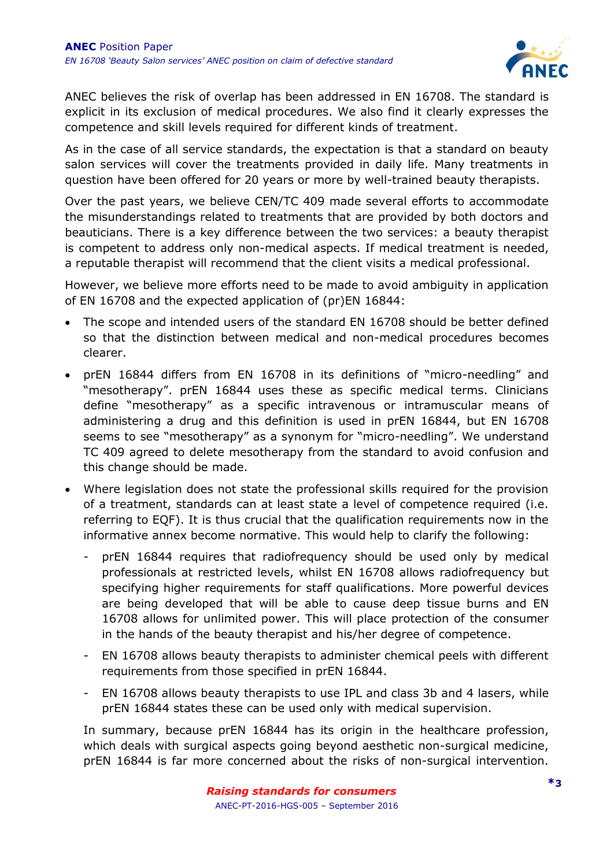

ANEC believes the risk of overlap has been addressed in EN 16708. The standard is explicit in its exclusion of medical procedures. We also find it clearly expresses the competence and skill levels required for different kinds of treatment.

As in the case of all service standards, the expectation is that a standard on beauty salon services will cover the treatments provided in daily life. Many treatments in question have been offered for 20 years or more by well-trained beauty therapists.

Over the past years, we believe CEN/TC 409 made several efforts to accommodate the misunderstandings related to treatments that are provided by both doctors and beauticians. There is a key difference between the two services: a beauty therapist is competent to address only non-medical aspects. If medical treatment is needed, a reputable therapist will recommend that the client visits a medical professional.

However, we believe more efforts need to be made to avoid ambiguity in application of EN 16708 and the expected application of (pr)EN 16844:

- The scope and intended users of the standard EN 16708 should be better defined so that the distinction between medical and non-medical procedures becomes clearer.
- prEN 16844 differs from EN 16708 in its definitions of "micro-needling" and "mesotherapy". prEN 16844 uses these as specific medical terms. Clinicians define "mesotherapy" as a specific intravenous or intramuscular means of administering a drug and this definition is used in prEN 16844, but EN 16708 seems to see "mesotherapy" as a synonym for "micro-needling". We understand TC 409 agreed to delete mesotherapy from the standard to avoid confusion and this change should be made.
- Where legislation does not state the professional skills required for the provision of a treatment, standards can at least state a level of competence required (i.e. referring to EQF). It is thus crucial that the qualification requirements now in the informative annex become normative. This would help to clarify the following:
	- prEN 16844 requires that radiofrequency should be used only by medical professionals at restricted levels, whilst EN 16708 allows radiofrequency but specifying higher requirements for staff qualifications. More powerful devices are being developed that will be able to cause deep tissue burns and EN 16708 allows for unlimited power. This will place protection of the consumer in the hands of the beauty therapist and his/her degree of competence.
	- EN 16708 allows beauty therapists to administer chemical peels with different requirements from those specified in prEN 16844.
	- EN 16708 allows beauty therapists to use IPL and class 3b and 4 lasers, while prEN 16844 states these can be used only with medical supervision.

In summary, because prEN 16844 has its origin in the healthcare profession, which deals with surgical aspects going beyond aesthetic non-surgical medicine, prEN 16844 is far more concerned about the risks of non-surgical intervention.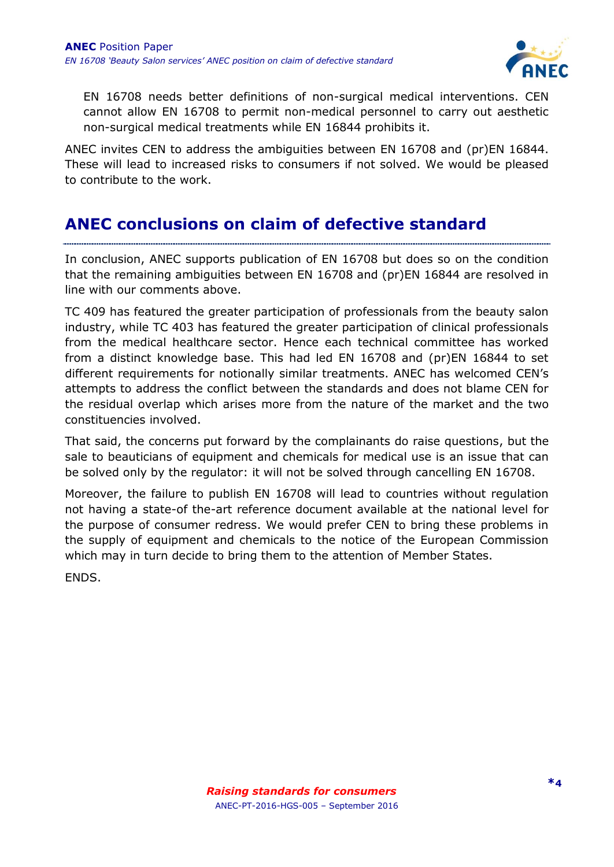

EN 16708 needs better definitions of non-surgical medical interventions. CEN cannot allow EN 16708 to permit non-medical personnel to carry out aesthetic non-surgical medical treatments while EN 16844 prohibits it.

ANEC invites CEN to address the ambiguities between EN 16708 and (pr)EN 16844. These will lead to increased risks to consumers if not solved. We would be pleased to contribute to the work.

#### **ANEC conclusions on claim of defective standard**

In conclusion, ANEC supports publication of EN 16708 but does so on the condition that the remaining ambiguities between EN 16708 and (pr)EN 16844 are resolved in line with our comments above.

TC 409 has featured the greater participation of professionals from the beauty salon industry, while TC 403 has featured the greater participation of clinical professionals from the medical healthcare sector. Hence each technical committee has worked from a distinct knowledge base. This had led EN 16708 and (pr)EN 16844 to set different requirements for notionally similar treatments. ANEC has welcomed CEN's attempts to address the conflict between the standards and does not blame CEN for the residual overlap which arises more from the nature of the market and the two constituencies involved.

That said, the concerns put forward by the complainants do raise questions, but the sale to beauticians of equipment and chemicals for medical use is an issue that can be solved only by the regulator: it will not be solved through cancelling EN 16708.

Moreover, the failure to publish EN 16708 will lead to countries without regulation not having a state-of the-art reference document available at the national level for the purpose of consumer redress. We would prefer CEN to bring these problems in the supply of equipment and chemicals to the notice of the European Commission which may in turn decide to bring them to the attention of Member States.

ENDS.